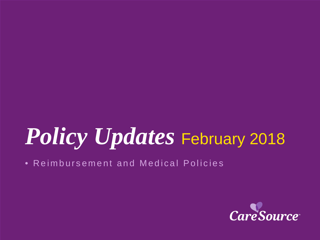# *Policy Updates* February 2018

• Reimbursement and Medical Policies

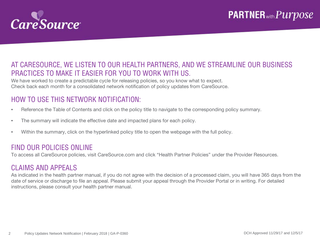

#### AT CARESOURCE, WE LISTEN TO OUR HEALTH PARTNERS, AND WE STREAMLINE OUR BUSINESS PRACTICES TO MAKE IT EASIER FOR YOU TO WORK WITH US.

We have worked to create a predictable cycle for releasing policies, so you know what to expect. Check back each month for a consolidated network notification of policy updates from CareSource.

#### HOW TO USE THIS NETWORK NOTIFICATION:

- Reference the Table of Contents and click on the policy title to navigate to the corresponding policy summary.
- The summary will indicate the effective date and impacted plans for each policy.
- Within the summary, click on the hyperlinked policy title to open the webpage with the full policy.

#### FIND OUR POLICIES ONLINE

To access all CareSource policies, visit CareSource.com and click "Health Partner Policies" under the Provider Resources.

#### CLAIMS AND APPEALS

As indicated in the health partner manual, if you do not agree with the decision of a processed claim, you will have 365 days from the date of service or discharge to file an appeal. Please submit your appeal through the Provider Portal or in writing. For detailed instructions, please consult your health partner manual.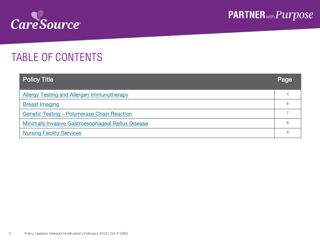

## TABLE OF CONTENTS

| <b>Policy Title</b>                                | Page |  |  |  |  |
|----------------------------------------------------|------|--|--|--|--|
| <b>Allergy Testing and Allergen Immunotherapy</b>  |      |  |  |  |  |
| <b>Breast Imaging</b>                              | 6    |  |  |  |  |
| <b>Genetic Testing - Polymerase Chain Reaction</b> |      |  |  |  |  |
| Minimally Invasive Gastroesophageal Reflux Disease |      |  |  |  |  |
| <b>Nursing Facility Services</b>                   |      |  |  |  |  |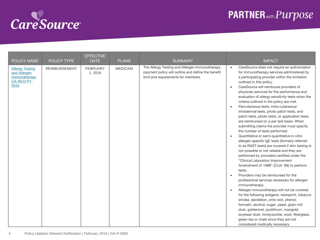<span id="page-3-0"></span>

| POLICY NAME                                                                          | <b>POLICY TYPE</b>   | <b>EFFECTIVE</b><br><b>DATE</b> | <b>PLANS</b>    | <b>SUMMARY</b>                                                                                                                              | <b>IMPACT</b>                                                                                                                                                                                                                                                                                                                                                                                                                                                                                                                                                                                                                                                                                                                                                                                                                                                                                                                                                                                                                                                                                                                                                                                                                                                                                                                                                                                                                                                                                                                     |
|--------------------------------------------------------------------------------------|----------------------|---------------------------------|-----------------|---------------------------------------------------------------------------------------------------------------------------------------------|-----------------------------------------------------------------------------------------------------------------------------------------------------------------------------------------------------------------------------------------------------------------------------------------------------------------------------------------------------------------------------------------------------------------------------------------------------------------------------------------------------------------------------------------------------------------------------------------------------------------------------------------------------------------------------------------------------------------------------------------------------------------------------------------------------------------------------------------------------------------------------------------------------------------------------------------------------------------------------------------------------------------------------------------------------------------------------------------------------------------------------------------------------------------------------------------------------------------------------------------------------------------------------------------------------------------------------------------------------------------------------------------------------------------------------------------------------------------------------------------------------------------------------------|
| <b>Allergy Testing</b><br>and Allergen<br>Immunotherapy<br><b>GA MCD PY-</b><br>0334 | <b>REIMBURSEMENT</b> | <b>FEBRUARY</b><br>1,2018       | <b>MEDICAID</b> | The Allergy Testing and Allergen Immunotherapy<br>payment policy will outline and define the benefit<br>limit and requirements for members. | CareSource does not require an authorization<br>$\bullet$<br>for immunotherapy services administered by<br>a participating provider within the limitation<br>outlined in this policy.<br>CareSource will reimburse providers of<br>$\bullet$<br>physician services for the performance and<br>evaluation of allergy sensitivity tests when the<br>criteria outlined in the policy are met.<br>Percutaneous tests, intra-cutaneous/<br>$\bullet$<br>intradermal tests, photo patch tests, and<br>patch tests, photo tests, or application tests<br>are reimbursed on a per test basis. When<br>submitting claims the provider must specify<br>the number of tests performed.<br>Quantitative or semi-quantitative in-vitro<br>$\bullet$<br>allergen specific IgE tests (formerly referred<br>to as RAST tests) are covered if skin testing is<br>not possible or not reliable and they are<br>performed by providers certified under the<br>"Clinical Laboratory Improvement<br>Amendment of 1988" (CLIA '88) to perform<br>tests.<br>Providers may be reimbursed for the<br>$\bullet$<br>professional services necessary for allergen<br>immunotherapy.<br>Allergen immunotherapy will not be covered<br>$\bullet$<br>for the following antigens: newsprint, tobacco<br>smoke, dandelion, orris root, phenol,<br>formalin, alcohol, sugar, yeast, grain mill<br>dust, goldenrod, pyrethrum, marigold,<br>soybean dust, honeysuckle, wool, fiberglass,<br>green tea or chalk since they are not<br>considered medically necessary. |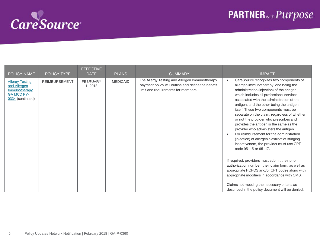

| POLICY NAME                                                                                      | POLICY TYPE          | <b>EFFECTIVE</b><br><b>DATE</b> | <b>PLANS</b>    | <b>SUMMARY</b>                                                                                                                              | <b>IMPACT</b>                                                                                                                                                                                                                                                                                                                                                                                                                                                                                                                                                                                                                                                                                                                                                                                                                                                                                                                                                                                     |
|--------------------------------------------------------------------------------------------------|----------------------|---------------------------------|-----------------|---------------------------------------------------------------------------------------------------------------------------------------------|---------------------------------------------------------------------------------------------------------------------------------------------------------------------------------------------------------------------------------------------------------------------------------------------------------------------------------------------------------------------------------------------------------------------------------------------------------------------------------------------------------------------------------------------------------------------------------------------------------------------------------------------------------------------------------------------------------------------------------------------------------------------------------------------------------------------------------------------------------------------------------------------------------------------------------------------------------------------------------------------------|
| <b>Allergy Testing</b><br>and Allergen<br>Immunotherapy<br><b>GA MCD PY-</b><br>0334 (continued) | <b>REIMBURSEMENT</b> | <b>FEBRUARY</b><br>1,2018       | <b>MEDICAID</b> | The Allergy Testing and Allergen Immunotherapy<br>payment policy will outline and define the benefit<br>limit and requirements for members. | CareSource recognizes two components of<br>$\bullet$<br>allergen immunotherapy, one being the<br>administration (injection) of the antigen,<br>which includes all professional services<br>associated with the administration of the<br>antigen, and the other being the antigen<br>itself. These two components must be<br>separate on the claim, regardless of whether<br>or not the provider who prescribes and<br>provides the antigen is the same as the<br>provider who administers the antigen.<br>For reimbursement for the administration<br>$\bullet$<br>(injection) of allergenic extract of stinging<br>insect venom, the provider must use CPT<br>code 95115 or 95117.<br>If required, providers must submit their prior<br>authorization number, their claim form, as well as<br>appropriate HCPCS and/or CPT codes along with<br>appropriate modifiers in accordance with CMS.<br>Claims not meeting the necessary criteria as<br>described in the policy document will be denied. |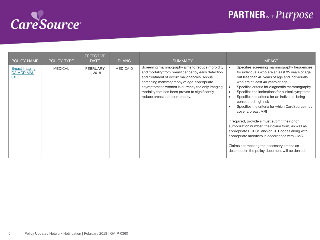<span id="page-5-0"></span>

| <b>POLICY NAME</b>                                 | <b>POLICY TYPE</b> | <b>EFFECTIVE</b><br><b>DATE</b> | <b>PLANS</b>    | <b>SUMMARY</b>                                                                                                                                                                                                                                                                                                                             | <b>IMPACT</b>                                                                                                                                                                                                                                                                                                                                                                                                                                                                                                                                                                                                                                                                                                                                                                                                 |
|----------------------------------------------------|--------------------|---------------------------------|-----------------|--------------------------------------------------------------------------------------------------------------------------------------------------------------------------------------------------------------------------------------------------------------------------------------------------------------------------------------------|---------------------------------------------------------------------------------------------------------------------------------------------------------------------------------------------------------------------------------------------------------------------------------------------------------------------------------------------------------------------------------------------------------------------------------------------------------------------------------------------------------------------------------------------------------------------------------------------------------------------------------------------------------------------------------------------------------------------------------------------------------------------------------------------------------------|
| <b>Breast Imaging</b><br><b>GA MCD MM-</b><br>0135 | <b>MEDICAL</b>     | <b>FEBRUARY</b><br>1, 2018      | <b>MEDICAID</b> | Screening mammography aims to reduce morbidity<br>and mortality from breast cancer by early detection<br>and treatment of occult malignancies. Annual<br>screening mammography of age-appropriate<br>asymptomatic women is currently the only imaging<br>modality that has been proven to significantly<br>reduce breast cancer mortality. | Specifies screening mammography frequencies<br>$\bullet$<br>for individuals who are at least 35 years of age<br>but less than 40 years of age and individuals<br>who are at least 40 years of age<br>Specifies criteria for diagnostic mammography<br>$\bullet$<br>Specifies the indications for clinical symptoms<br>$\bullet$<br>Specifies the criteria for an individual being<br>$\bullet$<br>considered high risk<br>Specifies the criteria for which CareSource may<br>cover a breast MRI<br>If required, providers must submit their prior<br>authorization number, their claim form, as well as<br>appropriate HCPCS and/or CPT codes along with<br>appropriate modifiers in accordance with CMS.<br>Claims not meeting the necessary criteria as<br>described in the policy document will be denied. |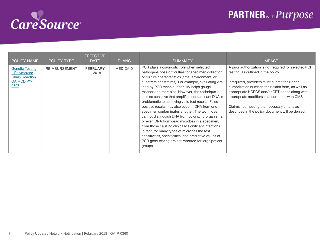<span id="page-6-0"></span>

| <b>POLICY NAME</b>                                                                           | <b>POLICY TYPE</b>   | <b>EFFECTIVE</b><br><b>DATE</b> | <b>PLANS</b>    | <b>SUMMARY</b>                                                                                                                                                                                                                                                                                                                                                                                                                                                                                                                                                                                                                                                                                                                                                                                                                                                             | <b>IMPACT</b>                                                                                                                                                                                                                                                                                                                                                                                              |
|----------------------------------------------------------------------------------------------|----------------------|---------------------------------|-----------------|----------------------------------------------------------------------------------------------------------------------------------------------------------------------------------------------------------------------------------------------------------------------------------------------------------------------------------------------------------------------------------------------------------------------------------------------------------------------------------------------------------------------------------------------------------------------------------------------------------------------------------------------------------------------------------------------------------------------------------------------------------------------------------------------------------------------------------------------------------------------------|------------------------------------------------------------------------------------------------------------------------------------------------------------------------------------------------------------------------------------------------------------------------------------------------------------------------------------------------------------------------------------------------------------|
| <b>Genetic Testing</b><br>- Polymerase<br><b>Chain Reaction</b><br><b>GA MCD PY-</b><br>0307 | <b>REIMBURSEMENT</b> | <b>FEBRUARY</b><br>1, 2018      | <b>MEDICAID</b> | PCR plays a diagnostic role when selected<br>pathogens pose difficulties for specimen collection<br>or culture characteristics (time, environment, or<br>substrate constraints). For example, evaluating viral<br>load by PCR technique for HIV helps gauge<br>response to therapies. However, the technique is<br>also so sensitive that amplified contaminant DNA is<br>problematic to achieving valid test results. False<br>positive results may also occur if DNA from one<br>specimen contaminates another. The technique<br>cannot distinguish DNA from colonizing organisms,<br>or even DNA from dead microbes in a specimen,<br>from those causing clinically significant infections.<br>In fact, for many types of microbes the test<br>sensitivities, specificities, and predictive values of<br>PCR gene testing are not reported for large patient<br>groups. | A prior authorization is not required for selected PCR<br>testing, as outlined in the policy<br>If required, providers must submit their prior<br>authorization number, their claim form, as well as<br>appropriate HCPCS and/or CPT codes along with<br>appropriate modifiers in accordance with CMS.<br>Claims not meeting the necessary criteria as<br>described in the policy document will be denied. |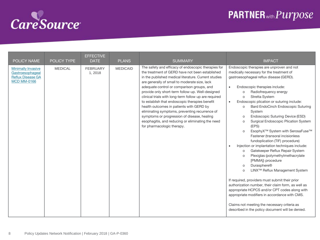<span id="page-7-0"></span>

| <b>POLICY NAME</b>                                                                              | POLICY TYPE    | <b>EFFECTIVE</b><br><b>DATE</b> | <b>PLANS</b>    | <b>SUMMARY</b>                                                                                                                                                                                                                                                                                                                                                                                                                                                                                                                                                                                                                                               | <b>IMPACT</b>                                                                                                                                                                                                                                                                                                                                                                                                                                                                                                                                                                                                                                                                                                                                                                                                                                                                                                                                                                                                                                                                                                                                                                                              |
|-------------------------------------------------------------------------------------------------|----------------|---------------------------------|-----------------|--------------------------------------------------------------------------------------------------------------------------------------------------------------------------------------------------------------------------------------------------------------------------------------------------------------------------------------------------------------------------------------------------------------------------------------------------------------------------------------------------------------------------------------------------------------------------------------------------------------------------------------------------------------|------------------------------------------------------------------------------------------------------------------------------------------------------------------------------------------------------------------------------------------------------------------------------------------------------------------------------------------------------------------------------------------------------------------------------------------------------------------------------------------------------------------------------------------------------------------------------------------------------------------------------------------------------------------------------------------------------------------------------------------------------------------------------------------------------------------------------------------------------------------------------------------------------------------------------------------------------------------------------------------------------------------------------------------------------------------------------------------------------------------------------------------------------------------------------------------------------------|
| <b>Minimally Invasive</b><br>Gastroesophageal<br><b>Reflux Disease GA</b><br><b>MCD MM-0166</b> | <b>MEDICAL</b> | <b>FEBRUARY</b><br>1, 2018      | <b>MEDICAID</b> | The safety and efficacy of endoscopic therapies for<br>the treatment of GERD have not been established<br>in the published medical literature. Current studies<br>are generally of small to moderate size, lack<br>adequate control or comparison groups, and<br>provide only short-term follow-up. Well-designed<br>clinical trials with long-term follow up are required<br>to establish that endoscopic therapies benefit<br>health outcomes in patients with GERD by<br>eliminating symptoms, preventing recurrence of<br>symptoms or progression of disease, healing<br>esophagitis, and reducing or eliminating the need<br>for pharmacologic therapy. | Endoscopic therapies are unproven and not<br>medically necessary for the treatment of<br>gastroesophageal reflux disease (GERD).<br>Endoscopic therapies include:<br>$\bullet$<br>Radiofrequency energy<br>$\circ$<br><b>Stretta System</b><br>$\circ$<br>Endoscopic plication or suturing include:<br>$\bullet$<br>Bard EndoCinch Endoscopic Suturing<br>$\circ$<br>System<br>Endoscopic Suturing Device (ESD)<br>$\circ$<br>Surgical Endoscopic Plication System<br>$\circ$<br>(EPS)<br>EsophyX <sup>™</sup> System with SerosaFuse <sup>™</sup><br>$\circ$<br>Fastener (transoral incisionless<br>fundoplication (TIF) procedure)<br>Injection or implantation techniques include:<br>Gatekeeper Reflux Repair System<br>$\circ$<br>Plexiglas (polymethylmethacrylate<br>$\Omega$<br>[PMMA]) procedure<br>Durasphere®<br>$\circ$<br>LINX <sup>™</sup> Reflux Management System<br>$\circ$<br>If required, providers must submit their prior<br>authorization number, their claim form, as well as<br>appropriate HCPCS and/or CPT codes along with<br>appropriate modifiers in accordance with CMS.<br>Claims not meeting the necessary criteria as<br>described in the policy document will be denied. |